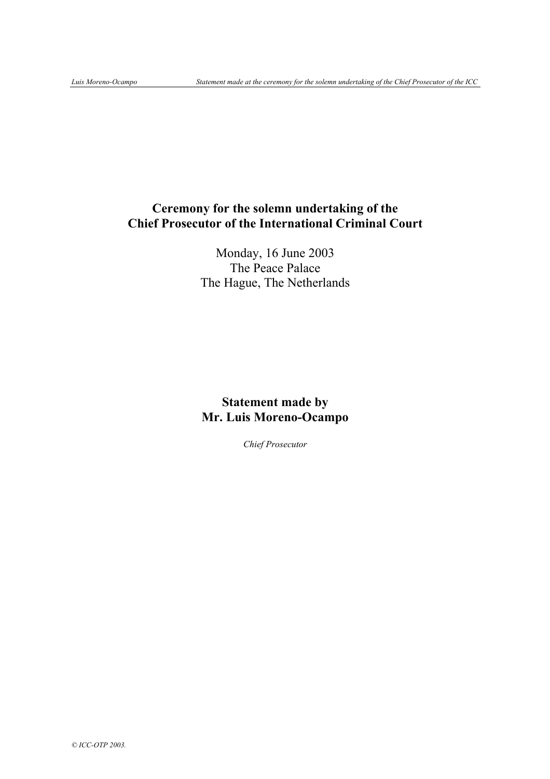# **Ceremony for the solemn undertaking of the Chief Prosecutor of the International Criminal Court**

Monday, 16 June 2003 The Peace Palace The Hague, The Netherlands

## **Statement made by Mr. Luis Moreno-Ocampo**

*Chief Prosecutor*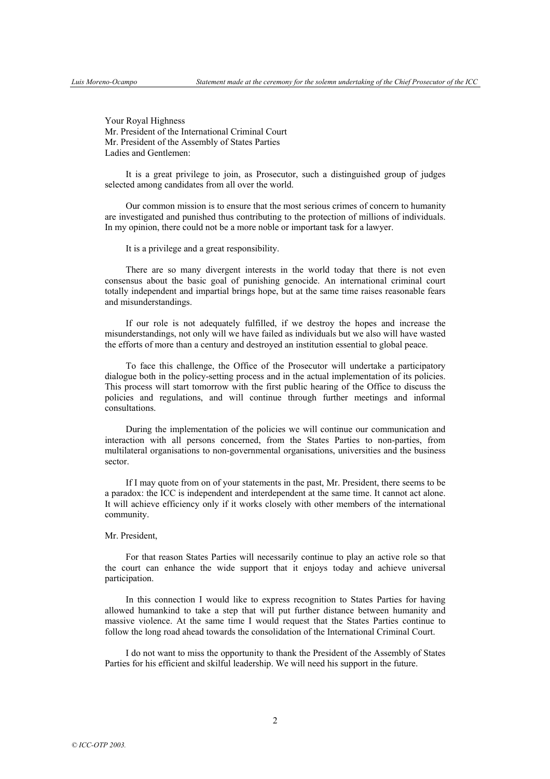Your Royal Highness Mr. President of the International Criminal Court Mr. President of the Assembly of States Parties Ladies and Gentlemen:

It is a great privilege to join, as Prosecutor, such a distinguished group of judges selected among candidates from all over the world.

Our common mission is to ensure that the most serious crimes of concern to humanity are investigated and punished thus contributing to the protection of millions of individuals. In my opinion, there could not be a more noble or important task for a lawyer.

It is a privilege and a great responsibility.

There are so many divergent interests in the world today that there is not even consensus about the basic goal of punishing genocide. An international criminal court totally independent and impartial brings hope, but at the same time raises reasonable fears and misunderstandings.

If our role is not adequately fulfilled, if we destroy the hopes and increase the misunderstandings, not only will we have failed as individuals but we also will have wasted the efforts of more than a century and destroyed an institution essential to global peace.

To face this challenge, the Office of the Prosecutor will undertake a participatory dialogue both in the policy-setting process and in the actual implementation of its policies. This process will start tomorrow with the first public hearing of the Office to discuss the policies and regulations, and will continue through further meetings and informal consultations.

During the implementation of the policies we will continue our communication and interaction with all persons concerned, from the States Parties to non-parties, from multilateral organisations to non-governmental organisations, universities and the business sector.

If I may quote from on of your statements in the past, Mr. President, there seems to be a paradox: the ICC is independent and interdependent at the same time. It cannot act alone. It will achieve efficiency only if it works closely with other members of the international community.

#### Mr. President,

For that reason States Parties will necessarily continue to play an active role so that the court can enhance the wide support that it enjoys today and achieve universal participation.

In this connection I would like to express recognition to States Parties for having allowed humankind to take a step that will put further distance between humanity and massive violence. At the same time I would request that the States Parties continue to follow the long road ahead towards the consolidation of the International Criminal Court.

I do not want to miss the opportunity to thank the President of the Assembly of States Parties for his efficient and skilful leadership. We will need his support in the future.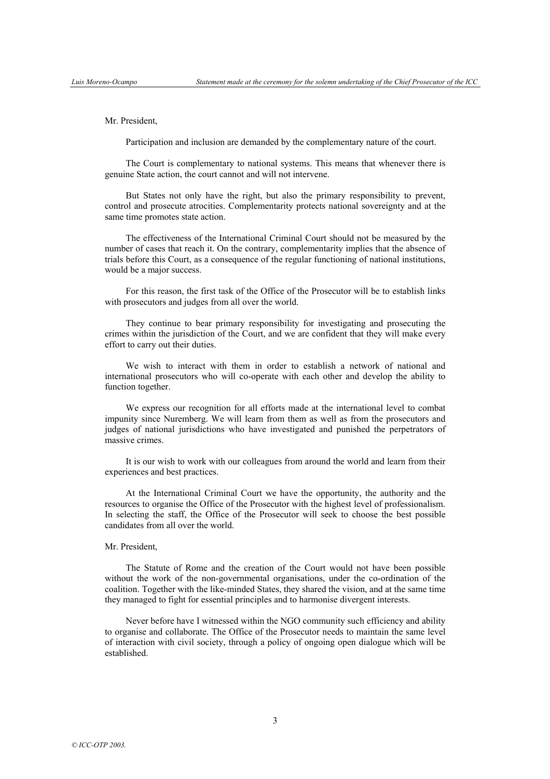#### Mr. President,

Participation and inclusion are demanded by the complementary nature of the court.

The Court is complementary to national systems. This means that whenever there is genuine State action, the court cannot and will not intervene.

But States not only have the right, but also the primary responsibility to prevent, control and prosecute atrocities. Complementarity protects national sovereignty and at the same time promotes state action.

The effectiveness of the International Criminal Court should not be measured by the number of cases that reach it. On the contrary, complementarity implies that the absence of trials before this Court, as a consequence of the regular functioning of national institutions, would be a major success.

For this reason, the first task of the Office of the Prosecutor will be to establish links with prosecutors and judges from all over the world.

They continue to bear primary responsibility for investigating and prosecuting the crimes within the jurisdiction of the Court, and we are confident that they will make every effort to carry out their duties.

We wish to interact with them in order to establish a network of national and international prosecutors who will co-operate with each other and develop the ability to function together.

We express our recognition for all efforts made at the international level to combat impunity since Nuremberg. We will learn from them as well as from the prosecutors and judges of national jurisdictions who have investigated and punished the perpetrators of massive crimes.

It is our wish to work with our colleagues from around the world and learn from their experiences and best practices.

At the International Criminal Court we have the opportunity, the authority and the resources to organise the Office of the Prosecutor with the highest level of professionalism. In selecting the staff, the Office of the Prosecutor will seek to choose the best possible candidates from all over the world.

### Mr. President,

The Statute of Rome and the creation of the Court would not have been possible without the work of the non-governmental organisations, under the co-ordination of the coalition. Together with the like-minded States, they shared the vision, and at the same time they managed to fight for essential principles and to harmonise divergent interests.

Never before have I witnessed within the NGO community such efficiency and ability to organise and collaborate. The Office of the Prosecutor needs to maintain the same level of interaction with civil society, through a policy of ongoing open dialogue which will be established.